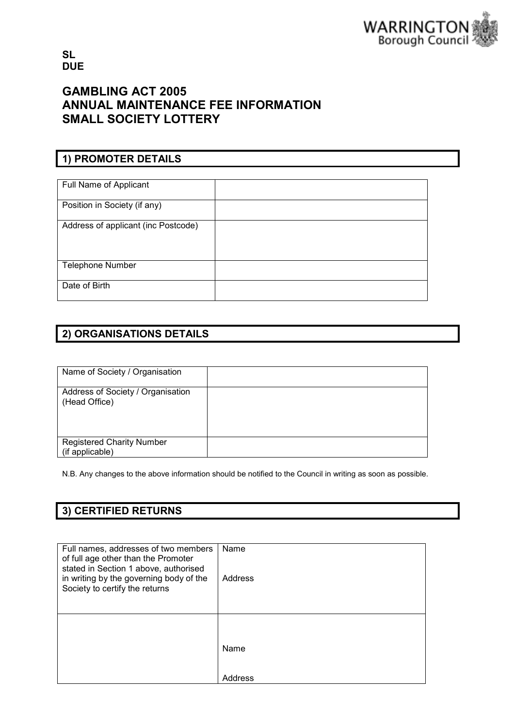

SL **DUE** 

# GAMBLING ACT 2005 ANNUAL MAINTENANCE FEE INFORMATION SMALL SOCIETY LOTTERY

## 1) PROMOTER DETAILS

| Full Name of Applicant              |  |
|-------------------------------------|--|
| Position in Society (if any)        |  |
| Address of applicant (inc Postcode) |  |
| <b>Telephone Number</b>             |  |
| Date of Birth                       |  |

### 2) ORGANISATIONS DETAILS

| Name of Society / Organisation                     |  |
|----------------------------------------------------|--|
| Address of Society / Organisation<br>(Head Office) |  |
| <b>Registered Charity Number</b>                   |  |
| (if applicable)                                    |  |

N.B. Any changes to the above information should be notified to the Council in writing as soon as possible.

## 3) CERTIFIED RETURNS

| Full names, addresses of two members<br>of full age other than the Promoter<br>stated in Section 1 above, authorised<br>in writing by the governing body of the<br>Society to certify the returns | Name<br>Address |
|---------------------------------------------------------------------------------------------------------------------------------------------------------------------------------------------------|-----------------|
|                                                                                                                                                                                                   | Name<br>Address |